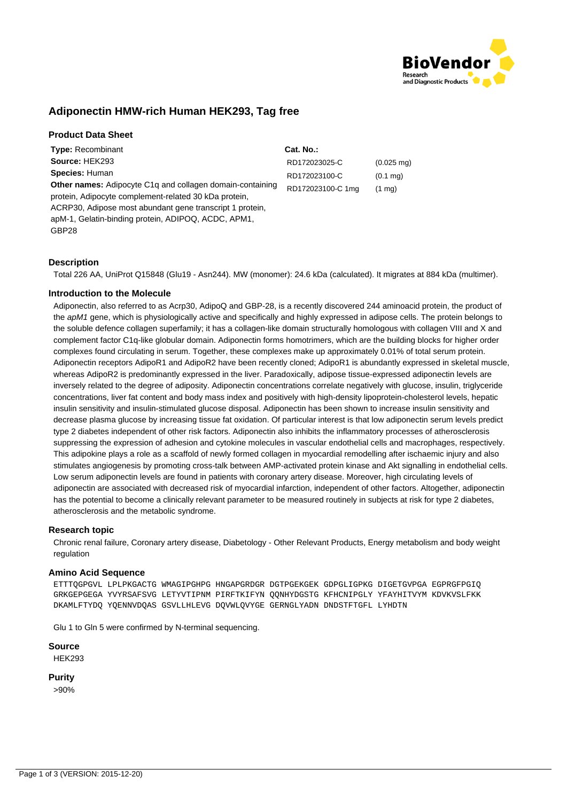

# **Adiponectin HMW-rich Human HEK293, Tag free**

## **Product Data Sheet**

| <b>Type: Recombinant</b>                                                                                                                                                                                                                                           | Cat. No.:         |                      |
|--------------------------------------------------------------------------------------------------------------------------------------------------------------------------------------------------------------------------------------------------------------------|-------------------|----------------------|
| Source: HEK293                                                                                                                                                                                                                                                     | RD172023025-C     | $(0.025 \text{ mg})$ |
| <b>Species: Human</b>                                                                                                                                                                                                                                              | RD172023100-C     | $(0.1 \text{ mq})$   |
| <b>Other names:</b> Adipocyte C <sub>1</sub> q and collagen domain-containing<br>protein, Adipocyte complement-related 30 kDa protein,<br>ACRP30, Adipose most abundant gene transcript 1 protein,<br>apM-1, Gelatin-binding protein, ADIPOQ, ACDC, APM1,<br>GBP28 | RD172023100-C 1mg | $(1 \text{ mq})$     |

## **Description**

Total 226 AA, UniProt Q15848 (Glu19 - Asn244). MW (monomer): 24.6 kDa (calculated). It migrates at 884 kDa (multimer).

#### **Introduction to the Molecule**

Adiponectin, also referred to as Acrp30, AdipoQ and GBP-28, is a recently discovered 244 aminoacid protein, the product of the apM1 gene, which is physiologically active and specifically and highly expressed in adipose cells. The protein belongs to the soluble defence collagen superfamily; it has a collagen-like domain structurally homologous with collagen VIII and X and complement factor C1q-like globular domain. Adiponectin forms homotrimers, which are the building blocks for higher order complexes found circulating in serum. Together, these complexes make up approximately 0.01% of total serum protein. Adiponectin receptors AdipoR1 and AdipoR2 have been recently cloned; AdipoR1 is abundantly expressed in skeletal muscle, whereas AdipoR2 is predominantly expressed in the liver. Paradoxically, adipose tissue-expressed adiponectin levels are inversely related to the degree of adiposity. Adiponectin concentrations correlate negatively with glucose, insulin, triglyceride concentrations, liver fat content and body mass index and positively with high-density lipoprotein-cholesterol levels, hepatic insulin sensitivity and insulin-stimulated glucose disposal. Adiponectin has been shown to increase insulin sensitivity and decrease plasma glucose by increasing tissue fat oxidation. Of particular interest is that low adiponectin serum levels predict type 2 diabetes independent of other risk factors. Adiponectin also inhibits the inflammatory processes of atherosclerosis suppressing the expression of adhesion and cytokine molecules in vascular endothelial cells and macrophages, respectively. This adipokine plays a role as a scaffold of newly formed collagen in myocardial remodelling after ischaemic injury and also stimulates angiogenesis by promoting cross-talk between AMP-activated protein kinase and Akt signalling in endothelial cells. Low serum adiponectin levels are found in patients with coronary artery disease. Moreover, high circulating levels of adiponectin are associated with decreased risk of myocardial infarction, independent of other factors. Altogether, adiponectin has the potential to become a clinically relevant parameter to be measured routinely in subjects at risk for type 2 diabetes, atherosclerosis and the metabolic syndrome.

#### **Research topic**

Chronic renal failure, Coronary artery disease, Diabetology - Other Relevant Products, Energy metabolism and body weight regulation

#### **Amino Acid Sequence**

ETTTQGPGVL LPLPKGACTG WMAGIPGHPG HNGAPGRDGR DGTPGEKGEK GDPGLIGPKG DIGETGVPGA EGPRGFPGIQ GRKGEPGEGA YVYRSAFSVG LETYVTIPNM PIRFTKIFYN QQNHYDGSTG KFHCNIPGLY YFAYHITVYM KDVKVSLFKK DKAMLFTYDQ YQENNVDQAS GSVLLHLEVG DQVWLQVYGE GERNGLYADN DNDSTFTGFL LYHDTN

Glu 1 to Gln 5 were confirmed by N-terminal sequencing.

**Source** HEK293

**Purity**

>90%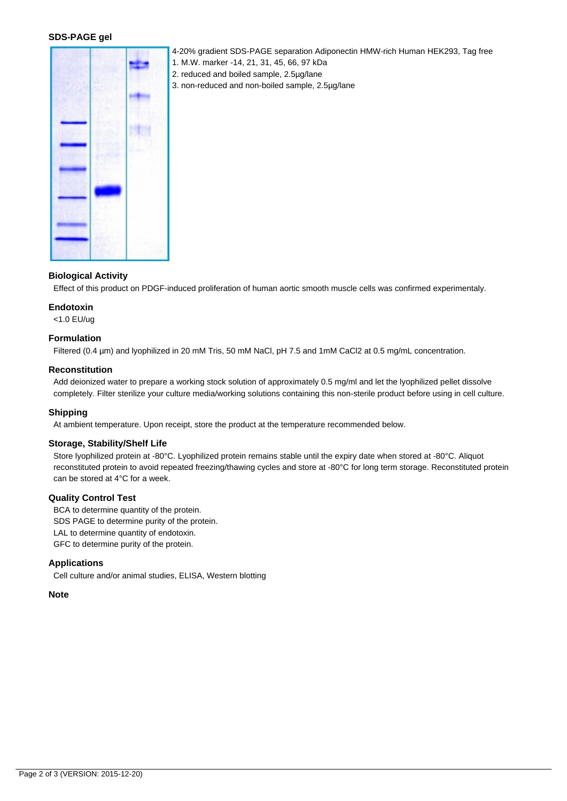## **SDS-PAGE gel**



- 4-20% gradient SDS-PAGE separation Adiponectin HMW-rich Human HEK293, Tag free
- 1. M.W. marker -14, 21, 31, 45, 66, 97 kDa
- 2. reduced and boiled sample, 2.5µg/lane
- 3. non-reduced and non-boiled sample, 2.5µg/lane

## **Biological Activity**

Effect of this product on PDGF-induced proliferation of human aortic smooth muscle cells was confirmed experimentaly.

## **Endotoxin**

<1.0 EU/ug

## **Formulation**

Filtered (0.4 µm) and lyophilized in 20 mM Tris, 50 mM NaCl, pH 7.5 and 1mM CaCl2 at 0.5 mg/mL concentration.

#### **Reconstitution**

Add deionized water to prepare a working stock solution of approximately 0.5 mg/ml and let the lyophilized pellet dissolve completely. Filter sterilize your culture media/working solutions containing this non-sterile product before using in cell culture.

#### **Shipping**

At ambient temperature. Upon receipt, store the product at the temperature recommended below.

#### **Storage, Stability/Shelf Life**

Store lyophilized protein at -80°C. Lyophilized protein remains stable until the expiry date when stored at -80°C. Aliquot reconstituted protein to avoid repeated freezing/thawing cycles and store at -80°C for long term storage. Reconstituted protein can be stored at 4°C for a week.

#### **Quality Control Test**

BCA to determine quantity of the protein. SDS PAGE to determine purity of the protein. LAL to determine quantity of endotoxin. GFC to determine purity of the protein.

## **Applications**

Cell culture and/or animal studies, ELISA, Western blotting

#### **Note**